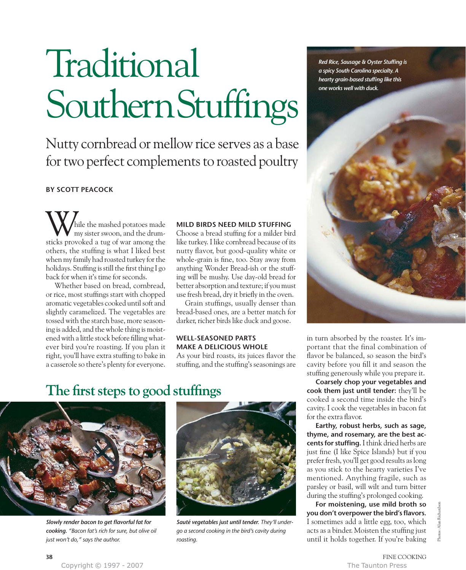# Traditional SouthernStuffings

Nutty cornbread or mellow rice serves as a base for two perfect complements to roasted poultry

## **BY SCOTT PEACOCK**

hile the mashed potatoes made my sister swoon, and the drum-While the mashed potatoes made<br>sticks provoked a tug of war among the others, the stuffing is what I liked best when my family had roasted turkey for the holidays. Stuffing is still the first thing I go back for when it's time for seconds.

Whether based on bread, cornbread, or rice, most stuffings start with chopped aromatic vegetables cooked until soft and slightly caramelized. The vegetables are tossed with the starch base, more seasoning is added, and the whole thing is moistened with a little stock before filling whatever bird you're roasting. If you plan it right, you'll have extra stuffing to bake in a casserole so there's plenty for everyone.

### **MILD BIRDS NEED MILD STUFFING**

Choose a bread stuffing for a milder bird like turkey. I like cornbread because of its nutty flavor, but good-quality white or whole-grain is fine, too. Stay away from anything Wonder Bread-ish or the stuffing will be mushy. Use day-old bread for better absorption and texture; if you must use fresh bread, dry it briefly in the oven.

Grain stuffings, usually denser than bread-based ones, are a better match for darker, richer birds like duck and goose.

## **WELL-SEASONED PARTS MAKE A DELICIOUS WHOLE**

As your bird roasts, its juices flavor the stuffing, and the stuffing's seasonings are

# **The first steps to good stuffings**



*Slowly render bacon to get flavorful fat for cooking. "Bacon fat's rich for sure, but olive oil just won't do," says the author.*



*Sauté vegetables just until tender. They'll undergo a second cooking in the bird's cavity during roasting.*

*Red Rice, Sausage & Oyster Stuffing is a spicy South Carolina specialty. A hearty grain-based stuffing like this one works well with duck.*



in turn absorbed by the roaster. It's important that the final combination of flavor be balanced, so season the bird's cavity before you fill it and season the stuffing generously while you prepare it.

**Coarsely chop your vegetables and cook them just until tender:** they'll be cooked a second time inside the bird's cavity. I cook the vegetables in bacon fat for the extra flavor.

**Earthy, robust herbs, such as sage, thyme, and rosemary, are the best accents for stuffing.** I think dried herbs are just fine (I like Spice Islands) but if you prefer fresh, you'll get good results as long as you stick to the hearty varieties I've mentioned. Anything fragile, such as parsley or basil, will wilt and turn bitter during the stuffing's prolonged cooking.

**For moistening, use mild broth so you don't overpower the bird's flavors.** I sometimes add a little egg, too, which acts as a binder. Moisten the stuffing just until it holds together. If you're baking